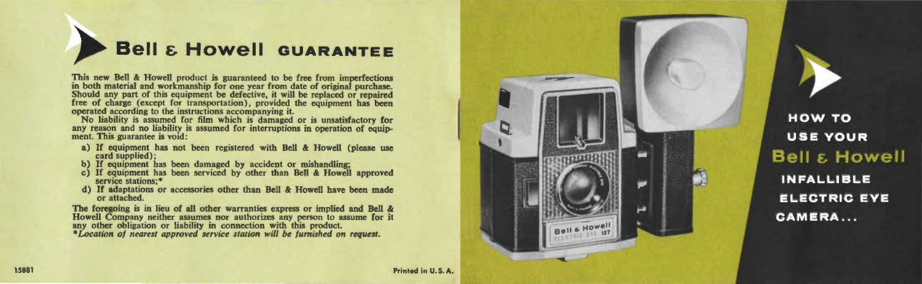

This new Bell & Howell product is guaranteed to be free from imperfections<br>in both material and workmanship for one year from date of original purchase.<br>Should any part of this equipment be defective, it will be replaced o

No liability is assumed for film which is damaged or is unsatisfactory for any reason and no liability is assumed for interruptions in operation of equipment. This guarantee is void:

- a) If equipment has not been registered with Bell & Howell (please use card supplied);
- b) If equipment has been damaged by accident or mishandling;
- c) If equipment has been serviced by other than Bell & Howell approved service stations;\*
- d) If adaptations or accessories other than Bell & Howell have been made or attached.

The foregoing is in lieu of all other warranties express or implied and Bell & Howell Company neither assumes nor authorizes any person to assume for it any other obligation or liability in connection with this product. *\*Location of nearest approved service station will be furnished on request.* 



**HOW TO USE YOUR Bell & Howell INFALLIBLE ELECTRIC EYE CAMERA...**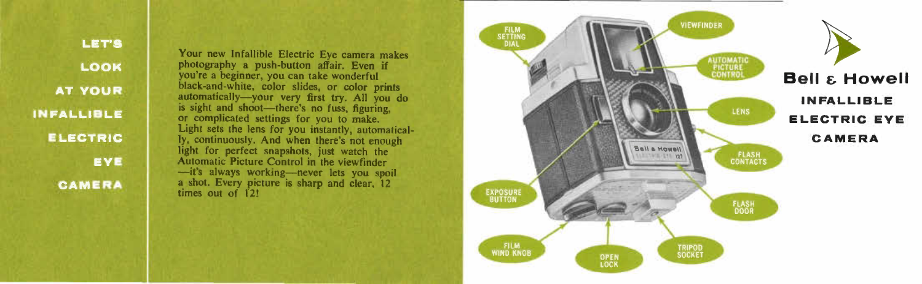**LET'S** LOOK **AT YOUR INFALLIBLE ELECTRIC** EYE **CAMERA** 

Your new Infallible Electric Eye camera makes photography a push-button affair. Even if you're a beginner, you can take wonderful black-and-white, color slides, or color prints automatically-your very first try. All you do is sight and shoot-there's no fuss, figuring, or complicated settings for you to make. Light sets the lens for you instantly, automatically, continuously. And when there's not enough light for perfect snapshots, just watch the Automatic Picture Control in the viewfinder<br>-it's always working-never lets you spoil a shot. Every picture is sharp and clear. 12 times out of 12!

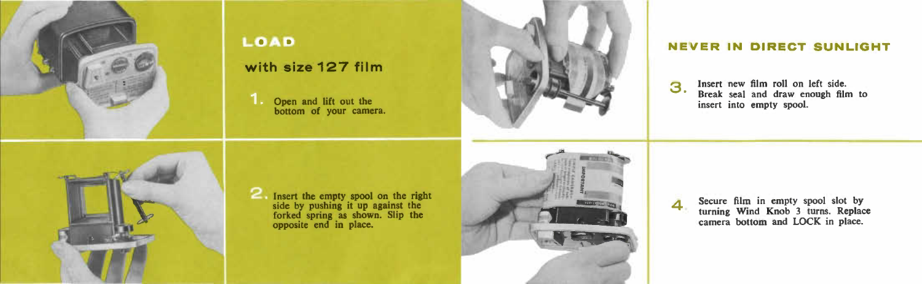

Insert the empty spool on the right side by pushing it up against the forked spring as shown. Slip the opposite end in place.

**with size 127 film** 

LOAD

Open and lift out the bottom of your camera.





Secure film in empty spool slot by turning Wind Knob 3 turns. Replace camera bottom and LOCK in place.

3 Insert new film roll on left side. Break seal and draw enough film to insert into empty spool.

4

#### **NEVER IN DIRECT SUNLIGHT**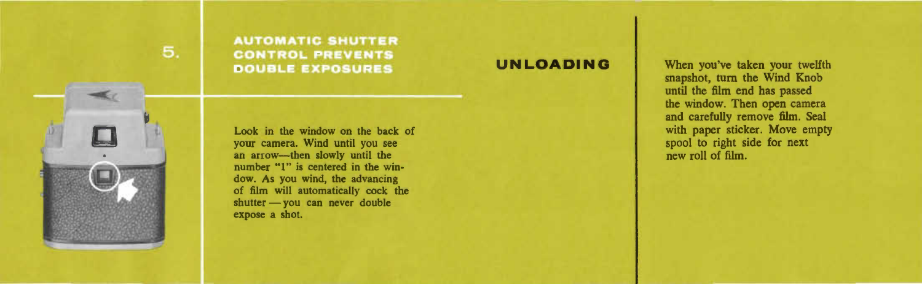

**AUTOMATIC SHUTTER CONTROL PREVENTS DOUBLE EXPOSURES** 

Look in the window on the back of your camera. Wind until you see an arrow-then slowly until the number "1" is centered in the window. As you wind, the advancing of film will automatically cock the shutter - you can never double expose a shot.

**UNLOADING** When you've taken your twelfth snapshot, turn the Wind Knob until the film end has passed the window. Then open camera and carefully remove film. Seal with paper sticker. Move empty spool to right side for next new roll of film.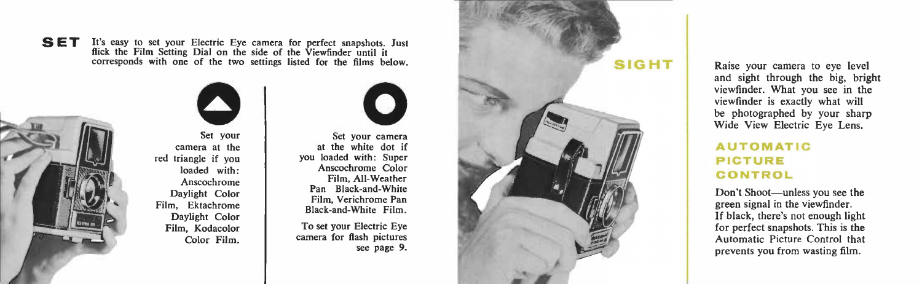**SET** It's easy to set your Electric Eye camera for perfect snapshots. Just flick the Film Setting Dial on the side of the Viewfinder until it corresponds with one of the two settings listed for the films below.



**0**  Set your cam era at the red triangle if you loaded with: Anscochrome Daylight Color Film, Ektachrome Daylight Color Film, Kodacolor Color Film.



Set your camera at the white dot if you loaded with: Super Anscochrome Color Film, All-Weather Pan Black-and-White Film, Verichrome Pan Black-and-White Film.

To set your Electric Eye camera for fla sh pictures see page 9.



R a ise your camera to eye level and sight through the big, bright viewfinder. What you see in the viewfinder is exact ly what will be photo g raphed by your sharp Wide View Electr ic Eye Lens.

#### **AUTOMATIC PICTURE CONTROL**

Don't Shoot-unless you see the green signal in the viewfinder. If black, there's not enough light for perfect snapshots. This is the Aut o mat ic Picture Control that prevents you from wasting film.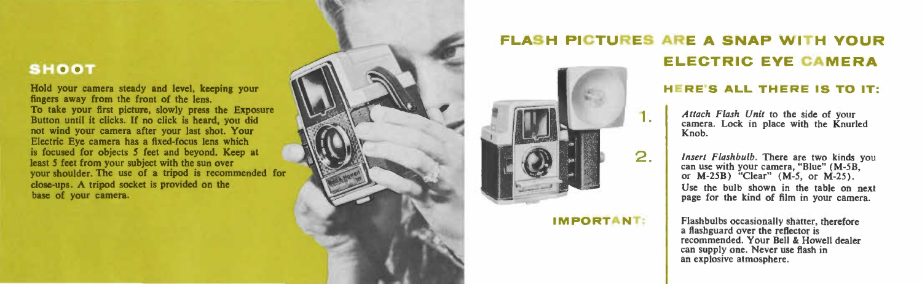#### **SHOOT**

Hold your camera steady and level, keeping your fingers away from the front of the lens. To take your first picture, slowly press the Exposure Button until it clicks. If no click is heard, you did not wind your camera after your last shot. Your Electric Eye camera has a fixed-focus lens which is focused for objects *5* feet and beyond. Keep at least *S* feet from your subject with the sun over your shoulder. The use of a tripod is recommended for close-ups. A tripod socket is provided on the base of your camera.



## **FLASH PICTURES ARE A SNAP WITH YOUR ELECTRIC EYE CAMERA**

1.

2.

**IMPORTANT:** 

#### **HERE'S ALL THERE IS TO** IT:

*Attach Flash Unit* to the side of your camera. Lock in place with the Knurled Knob.

*Insert Flashbulb.* There are two kinds you can use with your camera, "Blue" (M-5B, or M-25B) "Clear" (M-5, or M-25). Use the bulb shown in the table on next page for the kind of film in your camera.

Flashbulbs occasionally shatter, therefore a ftashguard over the reflector is recommended. Your Bell & Howell dealer can supply one. Never use flash in an explosive atmosphere.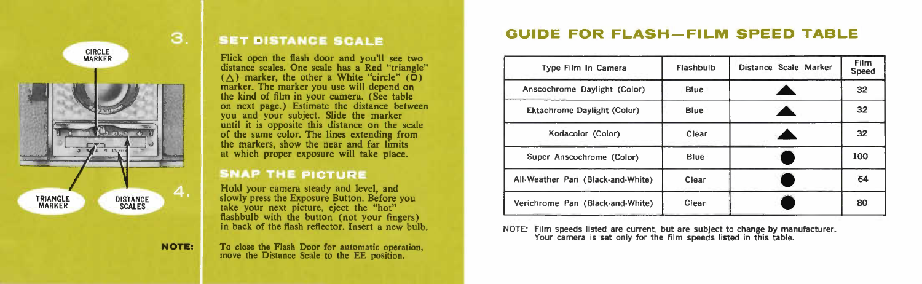

### **SET DISTANCE SCALE**

Flick open the flash door and you'll see two distance scales. One scale has a Red "triangle"  $(\triangle)$  marker, the other a White "circle"  $(\mathbf{O})$  marker. The marker you use will depend on the kind of film in your camera. (See table on next page.) Estimate the distance between you and your subject. Slide the marker until it is opposite this distance on the scale of the same color. The lines extending from the markers, show the near and far limits at which proper exposure will take place.

#### **SNAP THE PICTURE**

Hold your camera steady and level, and slowly press the Exposure Button. Before you take your next picture, eject the "hot" flashbulb with the button (not your fingers) in back of the flash reflector. Insert a new bulb.

**NOTE:** 

To close the Flash Door for automatic operation, move the Distance Scale to the EE position.

### **GUIDE FOR FLASH-FILM SPEED TABLE**

| Type Film In Camera                | Flashbulb | Distance Scale Marker | <b>Film</b><br>Speed |
|------------------------------------|-----------|-----------------------|----------------------|
| Anscochrome Daylight (Color)       | Blue      |                       | 32                   |
| <b>Ektachrome Daylight (Color)</b> | Blue      |                       | 32                   |
| Kodacolor (Color)                  | Clear     |                       | 32                   |
| Super Anscochrome (Color)          | Blue      |                       | 100                  |
| All-Weather Pan (Black-and-White)  | Clear     |                       | 64                   |
| Verichrome Pan (Black-and-White)   | Clear     |                       | 80                   |

Your camera is set only for the film speeds listed in this table.